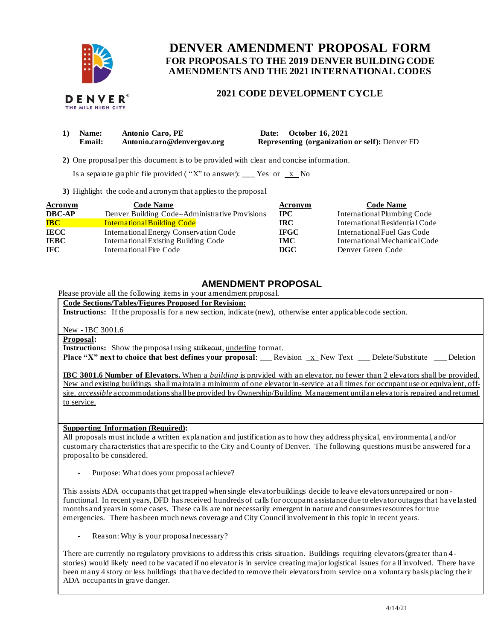

# **FOR PROPOSALS TO THE 2019 DENVER BUILDING CODE DENVER AMENDMENT PROPOSAL FORM AMENDMENTS AND THE 2021 INTERNATIONAL CODES**

## **2021 CODE DEVELOPMENT CYCLE**

|  | 1) Name: Antonio Caro, PE | Date: October 16, 2021 |
|--|---------------------------|------------------------|

**Email: [Antonio.caro@denvergov.org](mailto:Antonio.caro@denvergov.org) Representing (organization or self):** Denver FD

**2)** One proposalper this document is to be provided with clear and concise information.

Is a separate graphic file provided ("X" to answer): \_\_\_ Yes or  $\overline{x}$  No

**3)** Highlight the code and acronym that applies to the proposal

| <b>Acronym</b>                    | <b>Code Name</b>                               | <b>Acronym</b> | <b>Code Name</b>               |
|-----------------------------------|------------------------------------------------|----------------|--------------------------------|
| <b>DBC-AP</b>                     | Denver Building Code–Administrative Provisions | <b>IPC</b>     | International Plumbing Code    |
| $\overline{\mathbf{B}\mathbf{C}}$ | <b>International Building Code</b>             | <b>IRC</b>     | International Residential Code |
| <b>IECC</b>                       | International Energy Conservation Code         | <b>IFGC</b>    | International Fuel Gas Code    |
| <b>IEBC</b>                       | International Existing Building Code           | <b>IMC</b>     | International Mechanical Code  |
| IFC.                              | International Fire Code                        | DGC            | Denver Green Code              |

### **AMENDMENT PROPOSAL**

Please provide all the following items in your amendment proposal.

 **Code Sections/Tables/Figures Proposed for Revision:** 

**Instructions:** If the proposalis for a new section, indicate (new), otherwise enter applicable code section.

New - IBC 3001.6

**Proposal:** 

**Instructions:** Show the proposal using strikeout, underline format.

**Place "X" next to choice that best defines your proposal: Revision x New Text Delete/Substitute Deletion** 

**IBC 3001.6 Number of Elevators.** When a *building* is provided with an elevator, no fewer than 2 elevators shall be provided. New and existing buildings shall maintain a minimum of one elevator in-service at all times for occupant use or equivalent, off- site, *accessible* accommodations shallbe provided by Ownership/Building Management untilan elevator is repaired and returned to service.

 **Supporting Information (Required):** 

 All proposals must include a written explanation and justification as to how they address physical, environmental, and/or customary characteristics that are specific to the City and County of Denver. The following questions must be answered for a proposalto be considered.

- Purpose: What does your proposalachieve?

 This assists ADA occupants that get trapped when single elevator buildings decide to leave elevators unrepaired or non - functional. In recent years, DFD has received hundreds of calls for occupant assistance due to elevator outages that have lasted months and years in some cases. These calls are not necessarily emergent in nature and consumes resources for true emergencies. There has been much news coverage and City Council involvement in this topic in recent years.

- Reason: Why is your proposal necessary?

 There are currently no regulatory provisions to address this crisis situation. Buildings requiring elevators (greater than 4 - stories) would likely need to be vacated if no elevator is in service creating major logistical issues for a ll involved. There have been many 4 story or less buildings that have decided to remove their elevators from service on a voluntary basis placing the ir ADA occupants in grave danger.